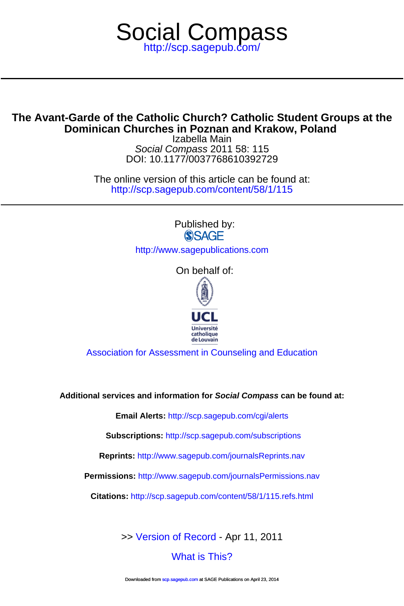

## **Dominican Churches in Poznan and Krakow, Poland The Avant-Garde of the Catholic Church? Catholic Student Groups at the**

DOI: 10.1177/0037768610392729 Social Compass 2011 58: 115 Izabella Main

<http://scp.sagepub.com/content/58/1/115> The online version of this article can be found at:

> Published by: **SSAGE**

<http://www.sagepublications.com>

On behalf of:



[Association for Assessment in Counseling and Education](http://www.theaaceonline.com/)

**Additional services and information for Social Compass can be found at:**

**Email Alerts:** <http://scp.sagepub.com/cgi/alerts>

**Subscriptions:** <http://scp.sagepub.com/subscriptions>

**Reprints:** <http://www.sagepub.com/journalsReprints.nav>

**Permissions:** <http://www.sagepub.com/journalsPermissions.nav>

**Citations:** <http://scp.sagepub.com/content/58/1/115.refs.html>

>> [Version of Record -](http://scp.sagepub.com/content/58/1/115.full.pdf) Apr 11, 2011

[What is This?](http://online.sagepub.com/site/sphelp/vorhelp.xhtml)

Downloaded from [scp.sagepub.com](http://scp.sagepub.com/) at SAGE Publications on April 23, 2014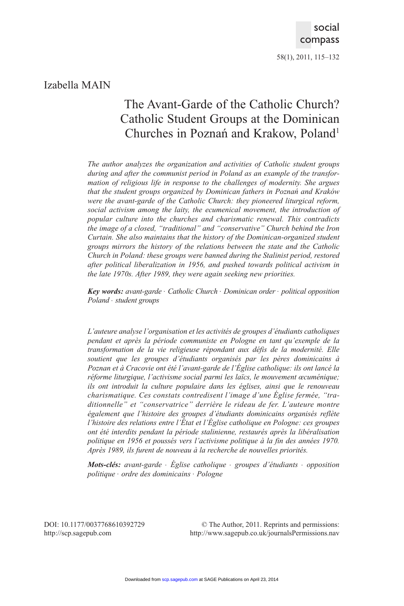### Izabella MAIN

# The Avant-Garde of the Catholic Church? Catholic Student Groups at the Dominican Churches in Poznań and Krakow, Poland<sup>1</sup>

*The author analyzes the organization and activities of Catholic student groups during and after the communist period in Poland as an example of the transformation of religious life in response to the challenges of modernity. She argues that the student groups organized by Dominican fathers in Poznań and Kraków were the avant-garde of the Catholic Church: they pioneered liturgical reform, social activism among the laity, the ecumenical movement, the introduction of popular culture into the churches and charismatic renewal. This contradicts the image of a closed, "traditional" and "conservative" Church behind the Iron Curtain. She also maintains that the history of the Dominican-organized student groups mirrors the history of the relations between the state and the Catholic Church in Poland: these groups were banned during the Stalinist period, restored after political liberalization in 1956, and pushed towards political activism in the late 1970s. After 1989, they were again seeking new priorities.*

*Key words: avant-garde . Catholic Church . Dominican order . political opposition Poland . student groups*

*L'auteure analyse l'organisation et les activités de groupes d'étudiants catholiques pendant et après la période communiste en Pologne en tant qu'exemple de la transformation de la vie religieuse répondant aux défis de la modernité. Elle soutient que les groupes d'étudiants organisés par les pères dominicains à Poznan et à Cracovie ont été l'avant-garde de l'Église catholique: ils ont lancé la réforme liturgique, l'activisme social parmi les laïcs, le mouvement œcuménique; ils ont introduit la culture populaire dans les églises, ainsi que le renouveau charismatique. Ces constats contredisent l'image d'une Église fermée, "traditionnelle" et "conservatrice" derrière le rideau de fer. L'auteure montre également que l'histoire des groupes d'étudiants dominicains organisés reflète l'histoire des relations entre l'État et l'Église catholique en Pologne: ces groupes ont été interdits pendant la période stalinienne, restaurés après la libéralisation politique en 1956 et poussés vers l'activisme politique à la fin des années 1970. Après 1989, ils furent de nouveau à la recherche de nouvelles priorités.*

*Mots-clés: avant-garde . Église catholique . groupes d'étudiants . opposition politique . ordre des dominicains . Pologne*

DOI: 10.1177/0037768610392729 © The Author, 2011. Reprints and permissions: http://scp.sagepub.com http://www.sagepub.co.uk/journalsPermissions.nav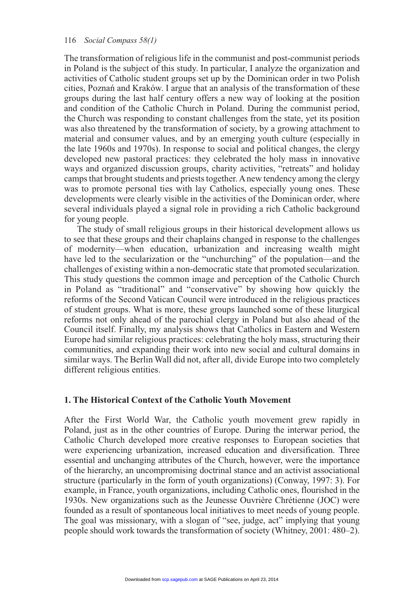#### 116 *Social Compass 58(1)*

The transformation of religious life in the communist and post-communist periods in Poland is the subject of this study. In particular, I analyze the organization and activities of Catholic student groups set up by the Dominican order in two Polish cities, Poznań and Kraków. I argue that an analysis of the transformation of these groups during the last half century offers a new way of looking at the position and condition of the Catholic Church in Poland. During the communist period, the Church was responding to constant challenges from the state, yet its position was also threatened by the transformation of society, by a growing attachment to material and consumer values, and by an emerging youth culture (especially in the late 1960s and 1970s). In response to social and political changes, the clergy developed new pastoral practices: they celebrated the holy mass in innovative ways and organized discussion groups, charity activities, "retreats" and holiday camps that brought students and priests together. A new tendency among the clergy was to promote personal ties with lay Catholics, especially young ones. These developments were clearly visible in the activities of the Dominican order, where several individuals played a signal role in providing a rich Catholic background for young people.

The study of small religious groups in their historical development allows us to see that these groups and their chaplains changed in response to the challenges of modernity—when education, urbanization and increasing wealth might have led to the secularization or the "unchurching" of the population—and the challenges of existing within a non-democratic state that promoted secularization. This study questions the common image and perception of the Catholic Church in Poland as "traditional" and "conservative" by showing how quickly the reforms of the Second Vatican Council were introduced in the religious practices of student groups. What is more, these groups launched some of these liturgical reforms not only ahead of the parochial clergy in Poland but also ahead of the Council itself. Finally, my analysis shows that Catholics in Eastern and Western Europe had similar religious practices: celebrating the holy mass, structuring their communities, and expanding their work into new social and cultural domains in similar ways. The Berlin Wall did not, after all, divide Europe into two completely different religious entities.

#### **1. The Historical Context of the Catholic Youth Movement**

After the First World War, the Catholic youth movement grew rapidly in Poland, just as in the other countries of Europe. During the interwar period, the Catholic Church developed more creative responses to European societies that were experiencing urbanization, increased education and diversification. Three essential and unchanging attributes of the Church, however, were the importance of the hierarchy, an uncompromising doctrinal stance and an activist associational structure (particularly in the form of youth organizations) (Conway, 1997: 3). For example, in France, youth organizations, including Catholic ones, flourished in the 1930s. New organizations such as the Jeunesse Ouvrière Chrétienne (JOC) were founded as a result of spontaneous local initiatives to meet needs of young people. The goal was missionary, with a slogan of "see, judge, act" implying that young people should work towards the transformation of society (Whitney, 2001: 480–2).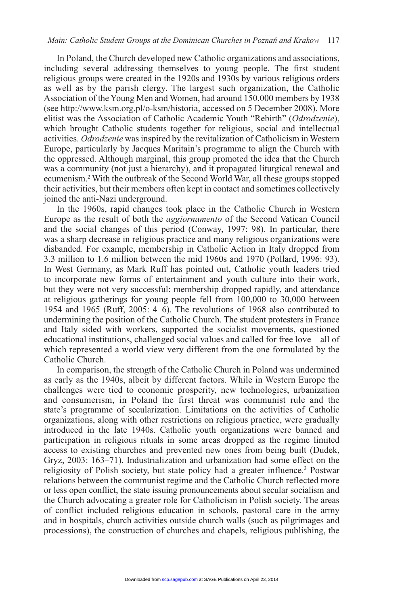In Poland, the Church developed new Catholic organizations and associations, including several addressing themselves to young people. The first student religious groups were created in the 1920s and 1930s by various religious orders as well as by the parish clergy. The largest such organization, the Catholic Association of the Young Men and Women, had around 150,000 members by 1938 (see http://www.ksm.org.pl/o-ksm/historia, accessed on 5 December 2008). More elitist was the Association of Catholic Academic Youth "Rebirth" (*Odrodzenie*), which brought Catholic students together for religious, social and intellectual activities. *Odrodzenie* was inspired by the revitalization of Catholicism in Western Europe, particularly by Jacques Maritain's programme to align the Church with the oppressed. Although marginal, this group promoted the idea that the Church was a community (not just a hierarchy), and it propagated liturgical renewal and ecumenism.2 With the outbreak of the Second World War, all these groups stopped their activities, but their members often kept in contact and sometimes collectively joined the anti-Nazi underground.

In the 1960s, rapid changes took place in the Catholic Church in Western Europe as the result of both the *aggiornamento* of the Second Vatican Council and the social changes of this period (Conway, 1997: 98). In particular, there was a sharp decrease in religious practice and many religious organizations were disbanded. For example, membership in Catholic Action in Italy dropped from 3.3 million to 1.6 million between the mid 1960s and 1970 (Pollard, 1996: 93). In West Germany, as Mark Ruff has pointed out, Catholic youth leaders tried to incorporate new forms of entertainment and youth culture into their work, but they were not very successful: membership dropped rapidly, and attendance at religious gatherings for young people fell from 100,000 to 30,000 between 1954 and 1965 (Ruff, 2005: 4–6). The revolutions of 1968 also contributed to undermining the position of the Catholic Church. The student protesters in France and Italy sided with workers, supported the socialist movements, questioned educational institutions, challenged social values and called for free love—all of which represented a world view very different from the one formulated by the Catholic Church.

In comparison, the strength of the Catholic Church in Poland was undermined as early as the 1940s, albeit by different factors. While in Western Europe the challenges were tied to economic prosperity, new technologies, urbanization and consumerism, in Poland the first threat was communist rule and the state's programme of secularization. Limitations on the activities of Catholic organizations, along with other restrictions on religious practice, were gradually introduced in the late 1940s. Catholic youth organizations were banned and participation in religious rituals in some areas dropped as the regime limited access to existing churches and prevented new ones from being built (Dudek, Gryz, 2003: 163–71). Industrialization and urbanization had some effect on the religiosity of Polish society, but state policy had a greater influence.<sup>3</sup> Postwar relations between the communist regime and the Catholic Church reflected more or less open conflict, the state issuing pronouncements about secular socialism and the Church advocating a greater role for Catholicism in Polish society. The areas of conflict included religious education in schools, pastoral care in the army and in hospitals, church activities outside church walls (such as pilgrimages and processions), the construction of churches and chapels, religious publishing, the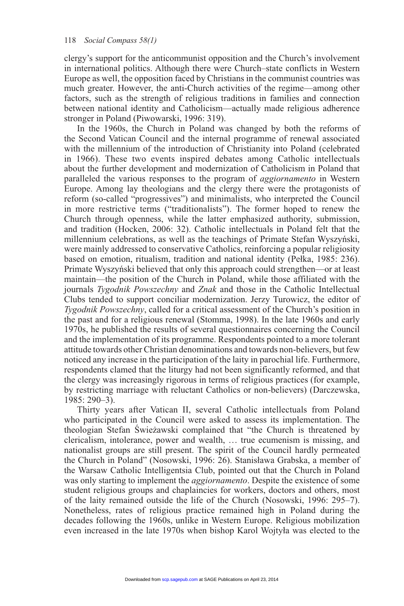clergy's support for the anticommunist opposition and the Church's involvement in international politics. Although there were Church–state conflicts in Western Europe as well, the opposition faced by Christians in the communist countries was much greater. However, the anti-Church activities of the regime—among other factors, such as the strength of religious traditions in families and connection between national identity and Catholicism—actually made religious adherence stronger in Poland (Piwowarski, 1996: 319).

In the 1960s, the Church in Poland was changed by both the reforms of the Second Vatican Council and the internal programme of renewal associated with the millennium of the introduction of Christianity into Poland (celebrated in 1966). These two events inspired debates among Catholic intellectuals about the further development and modernization of Catholicism in Poland that paralleled the various responses to the program of *aggiornamento* in Western Europe. Among lay theologians and the clergy there were the protagonists of reform (so-called "progressives") and minimalists, who interpreted the Council in more restrictive terms ("traditionalists"). The former hoped to renew the Church through openness, while the latter emphasized authority, submission, and tradition (Hocken, 2006: 32). Catholic intellectuals in Poland felt that the millennium celebrations, as well as the teachings of Primate Stefan Wyszyński, were mainly addressed to conservative Catholics, reinforcing a popular religiosity based on emotion, ritualism, tradition and national identity (Pełka, 1985: 236). Primate Wyszyński believed that only this approach could strengthen—or at least maintain—the position of the Church in Poland, while those affiliated with the journals *Tygodnik Powszechny* and *Znak* and those in the Catholic Intellectual Clubs tended to support conciliar modernization. Jerzy Turowicz, the editor of *Tygodnik Powszechny*, called for a critical assessment of the Church's position in the past and for a religious renewal (Stomma, 1998). In the late 1960s and early 1970s, he published the results of several questionnaires concerning the Council and the implementation of its programme. Respondents pointed to a more tolerant attitude towards other Christian denominations and towards non-believers, but few noticed any increase in the participation of the laity in parochial life. Furthermore, respondents clamed that the liturgy had not been significantly reformed, and that the clergy was increasingly rigorous in terms of religious practices (for example, by restricting marriage with reluctant Catholics or non-believers) (Darczewska, 1985: 290–3).

Thirty years after Vatican II, several Catholic intellectuals from Poland who participated in the Council were asked to assess its implementation. The theologian Stefan Świeżawski complained that "the Church is threatened by clericalism, intolerance, power and wealth, … true ecumenism is missing, and nationalist groups are still present. The spirit of the Council hardly permeated the Church in Poland" (Nosowski, 1996: 26). Stanisława Grabska, a member of the Warsaw Catholic Intelligentsia Club, pointed out that the Church in Poland was only starting to implement the *aggiornamento*. Despite the existence of some student religious groups and chaplaincies for workers, doctors and others, most of the laity remained outside the life of the Church (Nosowski, 1996: 295–7). Nonetheless, rates of religious practice remained high in Poland during the decades following the 1960s, unlike in Western Europe. Religious mobilization even increased in the late 1970s when bishop Karol Wojtyła was elected to the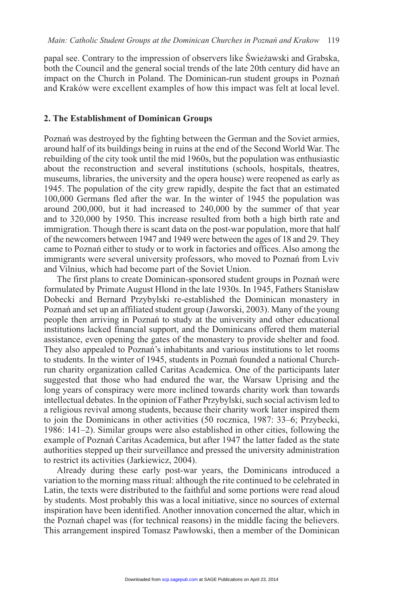papal see. Contrary to the impression of observers like Świeżawski and Grabska, both the Council and the general social trends of the late 20th century did have an impact on the Church in Poland. The Dominican-run student groups in Poznań and Kraków were excellent examples of how this impact was felt at local level.

#### **2. The Establishment of Dominican Groups**

Poznań was destroyed by the fighting between the German and the Soviet armies, around half of its buildings being in ruins at the end of the Second World War. The rebuilding of the city took until the mid 1960s, but the population was enthusiastic about the reconstruction and several institutions (schools, hospitals, theatres, museums, libraries, the university and the opera house) were reopened as early as 1945. The population of the city grew rapidly, despite the fact that an estimated 100,000 Germans fled after the war. In the winter of 1945 the population was around 200,000, but it had increased to 240,000 by the summer of that year and to 320,000 by 1950. This increase resulted from both a high birth rate and immigration. Though there is scant data on the post-war population, more that half of the newcomers between 1947 and 1949 were between the ages of 18 and 29. They came to Poznań either to study or to work in factories and offices. Also among the immigrants were several university professors, who moved to Poznań from Lviv and Vilnius, which had become part of the Soviet Union.

The first plans to create Dominican-sponsored student groups in Poznań were formulated by Primate August Hlond in the late 1930s. In 1945, Fathers Stanisław Dobecki and Bernard Przybylski re-established the Dominican monastery in Poznań and set up an affiliated student group (Jaworski, 2003). Many of the young people then arriving in Poznań to study at the university and other educational institutions lacked financial support, and the Dominicans offered them material assistance, even opening the gates of the monastery to provide shelter and food. They also appealed to Poznań's inhabitants and various institutions to let rooms to students. In the winter of 1945, students in Poznań founded a national Churchrun charity organization called Caritas Academica. One of the participants later suggested that those who had endured the war, the Warsaw Uprising and the long years of conspiracy were more inclined towards charity work than towards intellectual debates. In the opinion of Father Przybylski, such social activism led to a religious revival among students, because their charity work later inspired them to join the Dominicans in other activities (50 rocznica, 1987: 33–6; Przybecki, 1986: 141–2). Similar groups were also established in other cities, following the example of Poznań Caritas Academica, but after 1947 the latter faded as the state authorities stepped up their surveillance and pressed the university administration to restrict its activities (Jarkiewicz, 2004).

Already during these early post-war years, the Dominicans introduced a variation to the morning mass ritual: although the rite continued to be celebrated in Latin, the texts were distributed to the faithful and some portions were read aloud by students. Most probably this was a local initiative, since no sources of external inspiration have been identified. Another innovation concerned the altar, which in the Poznań chapel was (for technical reasons) in the middle facing the believers. This arrangement inspired Tomasz Pawłowski, then a member of the Dominican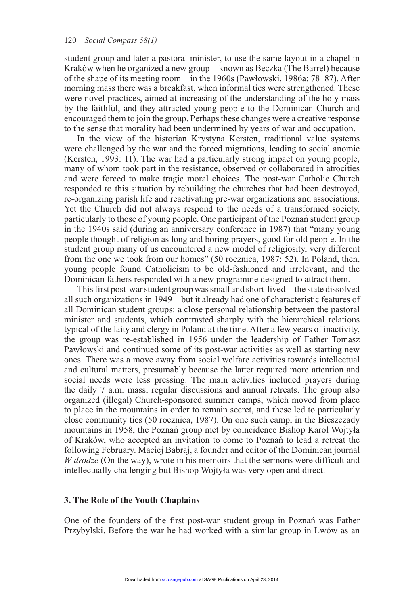student group and later a pastoral minister, to use the same layout in a chapel in Kraków when he organized a new group—known as Beczka (The Barrel) because of the shape of its meeting room—in the 1960s (Pawłowski, 1986a: 78–87). After morning mass there was a breakfast, when informal ties were strengthened. These were novel practices, aimed at increasing of the understanding of the holy mass by the faithful, and they attracted young people to the Dominican Church and encouraged them to join the group. Perhaps these changes were a creative response to the sense that morality had been undermined by years of war and occupation.

In the view of the historian Krystyna Kersten, traditional value systems were challenged by the war and the forced migrations, leading to social anomie (Kersten, 1993: 11). The war had a particularly strong impact on young people, many of whom took part in the resistance, observed or collaborated in atrocities and were forced to make tragic moral choices. The post-war Catholic Church responded to this situation by rebuilding the churches that had been destroyed, re-organizing parish life and reactivating pre-war organizations and associations. Yet the Church did not always respond to the needs of a transformed society, particularly to those of young people. One participant of the Poznań student group in the 1940s said (during an anniversary conference in 1987) that "many young people thought of religion as long and boring prayers, good for old people. In the student group many of us encountered a new model of religiosity, very different from the one we took from our homes" (50 rocznica, 1987: 52). In Poland, then, young people found Catholicism to be old-fashioned and irrelevant, and the Dominican fathers responded with a new programme designed to attract them.

This first post-war student group was small and short-lived—the state dissolved all such organizations in 1949—but it already had one of characteristic features of all Dominican student groups: a close personal relationship between the pastoral minister and students, which contrasted sharply with the hierarchical relations typical of the laity and clergy in Poland at the time. After a few years of inactivity, the group was re-established in 1956 under the leadership of Father Tomasz Pawłowski and continued some of its post-war activities as well as starting new ones. There was a move away from social welfare activities towards intellectual and cultural matters, presumably because the latter required more attention and social needs were less pressing. The main activities included prayers during the daily 7 a.m. mass, regular discussions and annual retreats. The group also organized (illegal) Church-sponsored summer camps, which moved from place to place in the mountains in order to remain secret, and these led to particularly close community ties (50 rocznica, 1987). On one such camp, in the Bieszczady mountains in 1958, the Poznań group met by coincidence Bishop Karol Wojtyła of Kraków, who accepted an invitation to come to Poznań to lead a retreat the following February. Maciej Babraj, a founder and editor of the Dominican journal *W drodze* (On the way), wrote in his memoirs that the sermons were difficult and intellectually challenging but Bishop Wojtyła was very open and direct.

#### **3. The Role of the Youth Chaplains**

One of the founders of the first post-war student group in Poznań was Father Przybylski. Before the war he had worked with a similar group in Lwów as an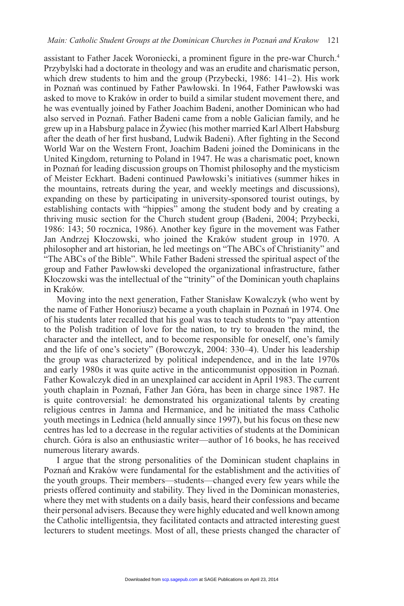assistant to Father Jacek Woroniecki, a prominent figure in the pre-war Church.4 Przybylski had a doctorate in theology and was an erudite and charismatic person, which drew students to him and the group (Przybecki, 1986: 141–2). His work in Poznań was continued by Father Pawłowski. In 1964, Father Pawłowski was asked to move to Kraków in order to build a similar student movement there, and he was eventually joined by Father Joachim Badeni, another Dominican who had also served in Poznań. Father Badeni came from a noble Galician family, and he grew up in a Habsburg palace in Żywiec (his mother married Karl Albert Habsburg after the death of her first husband, Ludwik Badeni). After fighting in the Second World War on the Western Front, Joachim Badeni joined the Dominicans in the United Kingdom, returning to Poland in 1947. He was a charismatic poet, known in Poznań for leading discussion groups on Thomist philosophy and the mysticism of Meister Eckhart. Badeni continued Pawłowski's initiatives (summer hikes in the mountains, retreats during the year, and weekly meetings and discussions), expanding on these by participating in university-sponsored tourist outings, by establishing contacts with "hippies" among the student body and by creating a thriving music section for the Church student group (Badeni, 2004; Przybecki, 1986: 143; 50 rocznica, 1986). Another key figure in the movement was Father Jan Andrzej Kłoczowski, who joined the Kraków student group in 1970. A philosopher and art historian, he led meetings on "The ABCs of Christianity" and "The ABCs of the Bible". While Father Badeni stressed the spiritual aspect of the group and Father Pawłowski developed the organizational infrastructure, father Kłoczowski was the intellectual of the "trinity" of the Dominican youth chaplains in Kraków.

Moving into the next generation, Father Stanisław Kowalczyk (who went by the name of Father Honoriusz) became a youth chaplain in Poznań in 1974. One of his students later recalled that his goal was to teach students to "pay attention to the Polish tradition of love for the nation, to try to broaden the mind, the character and the intellect, and to become responsible for oneself, one's family and the life of one's society" (Borowczyk, 2004: 330–4). Under his leadership the group was characterized by political independence, and in the late 1970s and early 1980s it was quite active in the anticommunist opposition in Poznań. Father Kowalczyk died in an unexplained car accident in April 1983. The current youth chaplain in Poznań, Father Jan Góra, has been in charge since 1987. He is quite controversial: he demonstrated his organizational talents by creating religious centres in Jamna and Hermanice, and he initiated the mass Catholic youth meetings in Lednica (held annually since 1997), but his focus on these new centres has led to a decrease in the regular activities of students at the Dominican church. Góra is also an enthusiastic writer—author of 16 books, he has received numerous literary awards.

I argue that the strong personalities of the Dominican student chaplains in Poznań and Kraków were fundamental for the establishment and the activities of the youth groups. Their members—students—changed every few years while the priests offered continuity and stability. They lived in the Dominican monasteries, where they met with students on a daily basis, heard their confessions and became their personal advisers. Because they were highly educated and well known among the Catholic intelligentsia, they facilitated contacts and attracted interesting guest lecturers to student meetings. Most of all, these priests changed the character of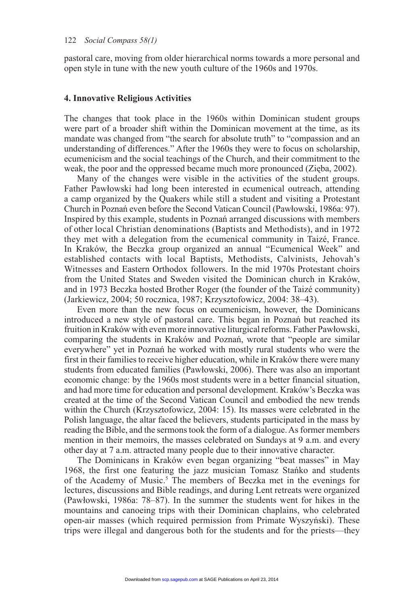pastoral care, moving from older hierarchical norms towards a more personal and open style in tune with the new youth culture of the 1960s and 1970s.

#### **4. Innovative Religious Activities**

The changes that took place in the 1960s within Dominican student groups were part of a broader shift within the Dominican movement at the time, as its mandate was changed from "the search for absolute truth" to "compassion and an understanding of differences." After the 1960s they were to focus on scholarship, ecumenicism and the social teachings of the Church, and their commitment to the weak, the poor and the oppressed became much more pronounced (Zięba, 2002).

Many of the changes were visible in the activities of the student groups. Father Pawłowski had long been interested in ecumenical outreach, attending a camp organized by the Quakers while still a student and visiting a Protestant Church in Poznań even before the Second Vatican Council (Pawłowski, 1986a: 97). Inspired by this example, students in Poznań arranged discussions with members of other local Christian denominations (Baptists and Methodists), and in 1972 they met with a delegation from the ecumenical community in Taizé, France. In Kraków, the Beczka group organized an annual "Ecumenical Week" and established contacts with local Baptists, Methodists, Calvinists, Jehovah's Witnesses and Eastern Orthodox followers. In the mid 1970s Protestant choirs from the United States and Sweden visited the Dominican church in Kraków, and in 1973 Beczka hosted Brother Roger (the founder of the Taizé community) (Jarkiewicz, 2004; 50 rocznica, 1987; Krzysztofowicz, 2004: 38–43).

Even more than the new focus on ecumenicism, however, the Dominicans introduced a new style of pastoral care. This began in Poznań but reached its fruition in Kraków with even more innovative liturgical reforms. Father Pawłowski, comparing the students in Kraków and Poznań, wrote that "people are similar everywhere" yet in Poznań he worked with mostly rural students who were the first in their families to receive higher education, while in Kraków there were many students from educated families (Pawłowski, 2006). There was also an important economic change: by the 1960s most students were in a better financial situation, and had more time for education and personal development. Kraków's Beczka was created at the time of the Second Vatican Council and embodied the new trends within the Church (Krzysztofowicz, 2004: 15). Its masses were celebrated in the Polish language, the altar faced the believers, students participated in the mass by reading the Bible, and the sermons took the form of a dialogue. As former members mention in their memoirs, the masses celebrated on Sundays at 9 a.m. and every other day at 7 a.m. attracted many people due to their innovative character.

The Dominicans in Kraków even began organizing "beat masses" in May 1968, the first one featuring the jazz musician Tomasz Stańko and students of the Academy of Music.<sup>5</sup> The members of Beczka met in the evenings for lectures, discussions and Bible readings, and during Lent retreats were organized (Pawłowski, 1986a: 78–87). In the summer the students went for hikes in the mountains and canoeing trips with their Dominican chaplains, who celebrated open-air masses (which required permission from Primate Wyszyński). These trips were illegal and dangerous both for the students and for the priests—they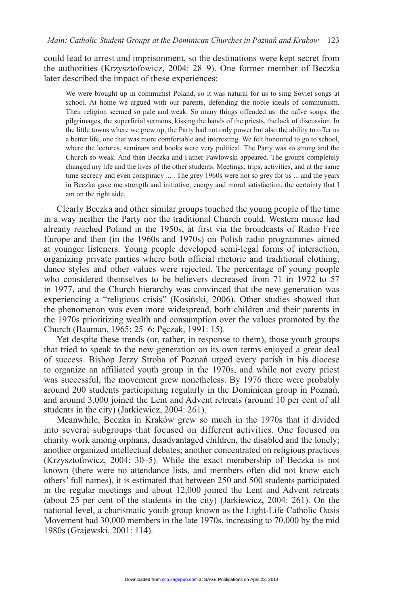could lead to arrest and imprisonment, so the destinations were kept secret from the authorities (Krzysztofowicz, 2004: 28–9). One former member of Beczka later described the impact of these experiences:

We were brought up in communist Poland, so it was natural for us to sing Soviet songs at school. At home we argued with our parents, defending the noble ideals of communism. Their religion seemed so pale and weak. So many things offended us: the naïve songs, the pilgrimages, the superficial sermons, kissing the hands of the priests, the lack of discussion. In the little towns where we grew up, the Party had not only power but also the ability to offer us a better life, one that was more comfortable and interesting. We felt honoured to go to school, where the lectures, seminars and books were very political. The Party was so strong and the Church so weak. And then Beczka and Father Pawłowski appeared. The groups completely changed my life and the lives of the other students. Meetings, trips, activities, and at the same time secrecy and even conspiracy ... . The grey 1960s were not so grey for us ... and the years in Beczka gave me strength and initiative, energy and moral satisfaction, the certainty that I am on the right side.

Clearly Beczka and other similar groups touched the young people of the time in a way neither the Party nor the traditional Church could. Western music had already reached Poland in the 1950s, at first via the broadcasts of Radio Free Europe and then (in the 1960s and 1970s) on Polish radio programmes aimed at younger listeners. Young people developed semi-legal forms of interaction, organizing private parties where both official rhetoric and traditional clothing, dance styles and other values were rejected. The percentage of young people who considered themselves to be believers decreased from 71 in 1972 to 57 in 1977, and the Church hierarchy was convinced that the new generation was experiencing a "religious crisis" (Kosiński, 2006). Other studies showed that the phenomenon was even more widespread, both children and their parents in the 1970s prioritizing wealth and consumption over the values promoted by the Church (Bauman, 1965: 25–6; Pęczak, 1991: 15).

Yet despite these trends (or, rather, in response to them), those youth groups that tried to speak to the new generation on its own terms enjoyed a great deal of success. Bishop Jerzy Stroba of Poznań urged every parish in his diocese to organize an affiliated youth group in the 1970s, and while not every priest was successful, the movement grew nonetheless. By 1976 there were probably around 200 students participating regularly in the Dominican group in Poznań, and around 3,000 joined the Lent and Advent retreats (around 10 per cent of all students in the city) (Jarkiewicz, 2004: 261).

Meanwhile, Beczka in Kraków grew so much in the 1970s that it divided into several subgroups that focused on different activities. One focused on charity work among orphans, disadvantaged children, the disabled and the lonely; another organized intellectual debates; another concentrated on religious practices (Krzysztofowicz, 2004: 30–5). While the exact membership of Beczka is not known (there were no attendance lists, and members often did not know each others' full names), it is estimated that between 250 and 500 students participated in the regular meetings and about 12,000 joined the Lent and Advent retreats (about 25 per cent of the students in the city) (Jarkiewicz, 2004: 261). On the national level, a charismatic youth group known as the Light-Life Catholic Oasis Movement had 30,000 members in the late 1970s, increasing to 70,000 by the mid 1980s (Grajewski, 2001: 114).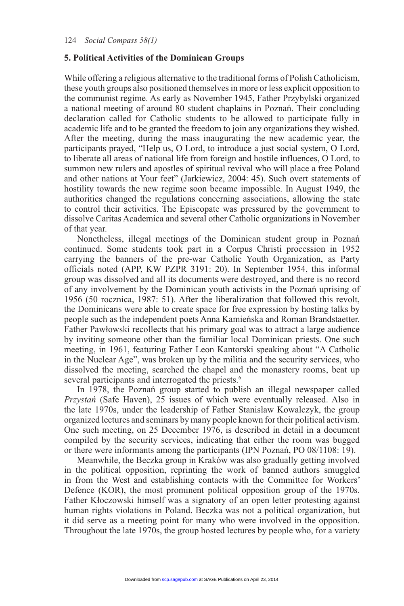#### **5. Political Activities of the Dominican Groups**

While offering a religious alternative to the traditional forms of Polish Catholicism, these youth groups also positioned themselves in more or less explicit opposition to the communist regime. As early as November 1945, Father Przybylski organized a national meeting of around 80 student chaplains in Poznań. Their concluding declaration called for Catholic students to be allowed to participate fully in academic life and to be granted the freedom to join any organizations they wished. After the meeting, during the mass inaugurating the new academic year, the participants prayed, "Help us, O Lord, to introduce a just social system, O Lord, to liberate all areas of national life from foreign and hostile influences, O Lord, to summon new rulers and apostles of spiritual revival who will place a free Poland and other nations at Your feet" (Jarkiewicz, 2004: 45). Such overt statements of hostility towards the new regime soon became impossible. In August 1949, the authorities changed the regulations concerning associations, allowing the state to control their activities. The Episcopate was pressured by the government to dissolve Caritas Academica and several other Catholic organizations in November of that year.

Nonetheless, illegal meetings of the Dominican student group in Poznań continued. Some students took part in a Corpus Christi procession in 1952 carrying the banners of the pre-war Catholic Youth Organization, as Party officials noted (APP, KW PZPR 3191: 20). In September 1954, this informal group was dissolved and all its documents were destroyed, and there is no record of any involvement by the Dominican youth activists in the Poznań uprising of 1956 (50 rocznica, 1987: 51). After the liberalization that followed this revolt, the Dominicans were able to create space for free expression by hosting talks by people such as the independent poets Anna Kamieńska and Roman Brandstaetter. Father Pawłowski recollects that his primary goal was to attract a large audience by inviting someone other than the familiar local Dominican priests. One such meeting, in 1961, featuring Father Leon Kantorski speaking about "A Catholic in the Nuclear Age", was broken up by the militia and the security services, who dissolved the meeting, searched the chapel and the monastery rooms, beat up several participants and interrogated the priests.<sup>6</sup>

In 1978, the Poznań group started to publish an illegal newspaper called *Przystań* (Safe Haven), 25 issues of which were eventually released. Also in the late 1970s, under the leadership of Father Stanisław Kowalczyk, the group organized lectures and seminars by many people known for their political activism. One such meeting, on 25 December 1976, is described in detail in a document compiled by the security services, indicating that either the room was bugged or there were informants among the participants (IPN Poznań, PO 08/1108: 19).

Meanwhile, the Beczka group in Kraków was also gradually getting involved in the political opposition, reprinting the work of banned authors smuggled in from the West and establishing contacts with the Committee for Workers' Defence (KOR), the most prominent political opposition group of the 1970s. Father Kłoczowski himself was a signatory of an open letter protesting against human rights violations in Poland. Beczka was not a political organization, but it did serve as a meeting point for many who were involved in the opposition. Throughout the late 1970s, the group hosted lectures by people who, for a variety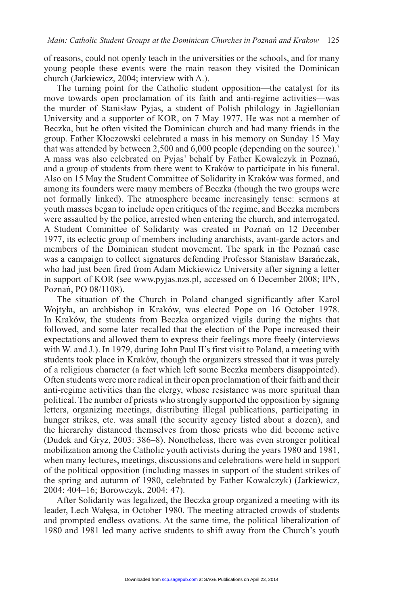of reasons, could not openly teach in the universities or the schools, and for many young people these events were the main reason they visited the Dominican church (Jarkiewicz, 2004; interview with A.).

The turning point for the Catholic student opposition—the catalyst for its move towards open proclamation of its faith and anti-regime activities—was the murder of Stanisław Pyjas, a student of Polish philology in Jagiellonian University and a supporter of KOR, on 7 May 1977. He was not a member of Beczka, but he often visited the Dominican church and had many friends in the group. Father Kłoczowski celebrated a mass in his memory on Sunday 15 May that was attended by between 2,500 and 6,000 people (depending on the source).<sup>7</sup> A mass was also celebrated on Pyjas' behalf by Father Kowalczyk in Poznań, and a group of students from there went to Kraków to participate in his funeral. Also on 15 May the Student Committee of Solidarity in Kraków was formed, and among its founders were many members of Beczka (though the two groups were not formally linked). The atmosphere became increasingly tense: sermons at youth masses began to include open critiques of the regime, and Beczka members were assaulted by the police, arrested when entering the church, and interrogated. A Student Committee of Solidarity was created in Poznań on 12 December 1977, its eclectic group of members including anarchists, avant-garde actors and members of the Dominican student movement. The spark in the Poznań case was a campaign to collect signatures defending Professor Stanisław Barańczak, who had just been fired from Adam Mickiewicz University after signing a letter in support of KOR (see www.pyjas.nzs.pl, accessed on 6 December 2008; IPN, Poznań, PO 08/1108).

The situation of the Church in Poland changed significantly after Karol Wojtyła, an archbishop in Kraków, was elected Pope on 16 October 1978. In Kraków, the students from Beczka organized vigils during the nights that followed, and some later recalled that the election of the Pope increased their expectations and allowed them to express their feelings more freely (interviews with W. and J.). In 1979, during John Paul II's first visit to Poland, a meeting with students took place in Kraków, though the organizers stressed that it was purely of a religious character (a fact which left some Beczka members disappointed). Often students were more radical in their open proclamation of their faith and their anti-regime activities than the clergy, whose resistance was more spiritual than political. The number of priests who strongly supported the opposition by signing letters, organizing meetings, distributing illegal publications, participating in hunger strikes, etc. was small (the security agency listed about a dozen), and the hierarchy distanced themselves from those priests who did become active (Dudek and Gryz, 2003: 386–8). Nonetheless, there was even stronger political mobilization among the Catholic youth activists during the years 1980 and 1981, when many lectures, meetings, discussions and celebrations were held in support of the political opposition (including masses in support of the student strikes of the spring and autumn of 1980, celebrated by Father Kowalczyk) (Jarkiewicz, 2004: 404–16; Borowczyk, 2004: 47).

After Solidarity was legalized, the Beczka group organized a meeting with its leader, Lech Wałęsa, in October 1980. The meeting attracted crowds of students and prompted endless ovations. At the same time, the political liberalization of 1980 and 1981 led many active students to shift away from the Church's youth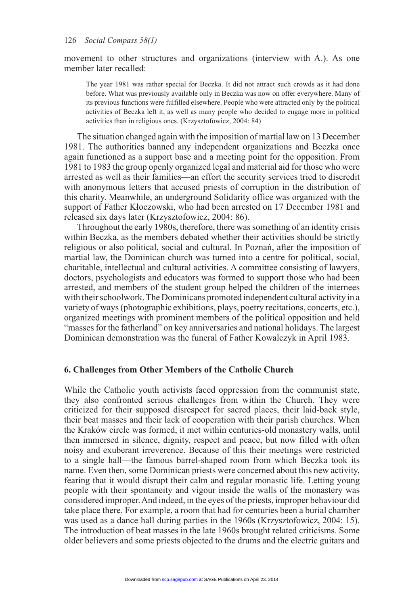movement to other structures and organizations (interview with A.). As one member later recalled:

The year 1981 was rather special for Beczka. It did not attract such crowds as it had done before. What was previously available only in Beczka was now on offer everywhere. Many of its previous functions were fulfilled elsewhere. People who were attracted only by the political activities of Beczka left it, as well as many people who decided to engage more in political activities than in religious ones. (Krzysztofowicz, 2004: 84)

The situation changed again with the imposition of martial law on 13 December 1981. The authorities banned any independent organizations and Beczka once again functioned as a support base and a meeting point for the opposition. From 1981 to 1983 the group openly organized legal and material aid for those who were arrested as well as their families—an effort the security services tried to discredit with anonymous letters that accused priests of corruption in the distribution of this charity. Meanwhile, an underground Solidarity office was organized with the support of Father Kłoczowski, who had been arrested on 17 December 1981 and released six days later (Krzysztofowicz, 2004: 86).

Throughout the early 1980s, therefore, there was something of an identity crisis within Beczka, as the members debated whether their activities should be strictly religious or also political, social and cultural. In Poznań, after the imposition of martial law, the Dominican church was turned into a centre for political, social, charitable, intellectual and cultural activities. A committee consisting of lawyers, doctors, psychologists and educators was formed to support those who had been arrested, and members of the student group helped the children of the internees with their schoolwork. The Dominicans promoted independent cultural activity in a variety of ways (photographic exhibitions, plays, poetry recitations, concerts, etc.), organized meetings with prominent members of the political opposition and held "masses for the fatherland" on key anniversaries and national holidays. The largest Dominican demonstration was the funeral of Father Kowalczyk in April 1983.

#### **6. Challenges from Other Members of the Catholic Church**

While the Catholic youth activists faced oppression from the communist state, they also confronted serious challenges from within the Church. They were criticized for their supposed disrespect for sacred places, their laid-back style, their beat masses and their lack of cooperation with their parish churches. When the Kraków circle was formed, it met within centuries-old monastery walls, until then immersed in silence, dignity, respect and peace, but now filled with often noisy and exuberant irreverence. Because of this their meetings were restricted to a single hall—the famous barrel-shaped room from which Beczka took its name. Even then, some Dominican priests were concerned about this new activity, fearing that it would disrupt their calm and regular monastic life. Letting young people with their spontaneity and vigour inside the walls of the monastery was considered improper. And indeed, in the eyes of the priests, improper behaviour did take place there. For example, a room that had for centuries been a burial chamber was used as a dance hall during parties in the 1960s (Krzysztofowicz, 2004: 15). The introduction of beat masses in the late 1960s brought related criticisms. Some older believers and some priests objected to the drums and the electric guitars and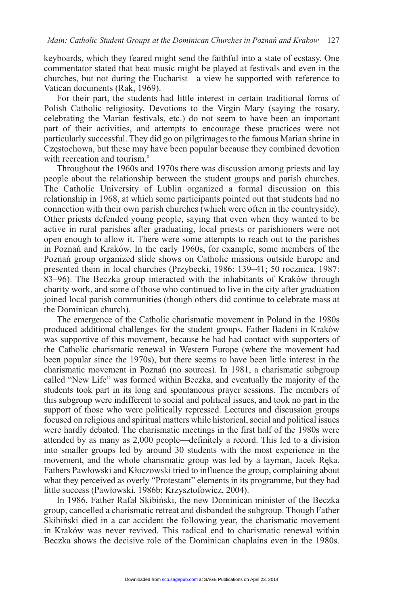keyboards, which they feared might send the faithful into a state of ecstasy. One commentator stated that beat music might be played at festivals and even in the churches, but not during the Eucharist—a view he supported with reference to Vatican documents (Rak, 1969).

For their part, the students had little interest in certain traditional forms of Polish Catholic religiosity. Devotions to the Virgin Mary (saying the rosary, celebrating the Marian festivals, etc.) do not seem to have been an important part of their activities, and attempts to encourage these practices were not particularly successful. They did go on pilgrimages to the famous Marian shrine in Częstochowa, but these may have been popular because they combined devotion with recreation and tourism.<sup>8</sup>

Throughout the 1960s and 1970s there was discussion among priests and lay people about the relationship between the student groups and parish churches. The Catholic University of Lublin organized a formal discussion on this relationship in 1968, at which some participants pointed out that students had no connection with their own parish churches (which were often in the countryside). Other priests defended young people, saying that even when they wanted to be active in rural parishes after graduating, local priests or parishioners were not open enough to allow it. There were some attempts to reach out to the parishes in Poznań and Kraków. In the early 1960s, for example, some members of the Poznań group organized slide shows on Catholic missions outside Europe and presented them in local churches (Przybecki, 1986: 139–41; 50 rocznica, 1987: 83–96). The Beczka group interacted with the inhabitants of Kraków through charity work, and some of those who continued to live in the city after graduation joined local parish communities (though others did continue to celebrate mass at the Dominican church).

The emergence of the Catholic charismatic movement in Poland in the 1980s produced additional challenges for the student groups. Father Badeni in Kraków was supportive of this movement, because he had had contact with supporters of the Catholic charismatic renewal in Western Europe (where the movement had been popular since the 1970s), but there seems to have been little interest in the charismatic movement in Poznań (no sources). In 1981, a charismatic subgroup called "New Life" was formed within Beczka, and eventually the majority of the students took part in its long and spontaneous prayer sessions. The members of this subgroup were indifferent to social and political issues, and took no part in the support of those who were politically repressed. Lectures and discussion groups focused on religious and spiritual matters while historical, social and political issues were hardly debated. The charismatic meetings in the first half of the 1980s were attended by as many as 2,000 people—definitely a record. This led to a division into smaller groups led by around 30 students with the most experience in the movement, and the whole charismatic group was led by a layman, Jacek Ręka. Fathers Pawłowski and Kłoczowski tried to influence the group, complaining about what they perceived as overly "Protestant" elements in its programme, but they had little success (Pawłowski, 1986b; Krzysztofowicz, 2004).

In 1986, Father Rafał Skibiński, the new Dominican minister of the Beczka group, cancelled a charismatic retreat and disbanded the subgroup. Though Father Skibiński died in a car accident the following year, the charismatic movement in Kraków was never revived. This radical end to charismatic renewal within Beczka shows the decisive role of the Dominican chaplains even in the 1980s.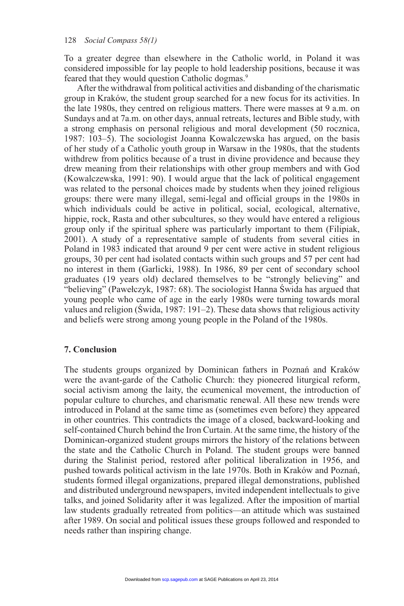To a greater degree than elsewhere in the Catholic world, in Poland it was considered impossible for lay people to hold leadership positions, because it was feared that they would question Catholic dogmas.<sup>9</sup>

After the withdrawal from political activities and disbanding of the charismatic group in Kraków, the student group searched for a new focus for its activities. In the late 1980s, they centred on religious matters. There were masses at 9 a.m. on Sundays and at 7a.m. on other days, annual retreats, lectures and Bible study, with a strong emphasis on personal religious and moral development (50 rocznica, 1987: 103–5). The sociologist Joanna Kowalczewska has argued, on the basis of her study of a Catholic youth group in Warsaw in the 1980s, that the students withdrew from politics because of a trust in divine providence and because they drew meaning from their relationships with other group members and with God (Kowalczewska, 1991: 90). I would argue that the lack of political engagement was related to the personal choices made by students when they joined religious groups: there were many illegal, semi-legal and official groups in the 1980s in which individuals could be active in political, social, ecological, alternative, hippie, rock, Rasta and other subcultures, so they would have entered a religious group only if the spiritual sphere was particularly important to them (Filipiak, 2001). A study of a representative sample of students from several cities in Poland in 1983 indicated that around 9 per cent were active in student religious groups, 30 per cent had isolated contacts within such groups and 57 per cent had no interest in them (Garlicki, 1988). In 1986, 89 per cent of secondary school graduates (19 years old) declared themselves to be "strongly believing" and "believing" (Pawełczyk, 1987: 68). The sociologist Hanna Świda has argued that young people who came of age in the early 1980s were turning towards moral values and religion (Świda, 1987: 191–2). These data shows that religious activity and beliefs were strong among young people in the Poland of the 1980s.

#### **7. Conclusion**

The students groups organized by Dominican fathers in Poznań and Kraków were the avant-garde of the Catholic Church: they pioneered liturgical reform, social activism among the laity, the ecumenical movement, the introduction of popular culture to churches, and charismatic renewal. All these new trends were introduced in Poland at the same time as (sometimes even before) they appeared in other countries. This contradicts the image of a closed, backward-looking and self-contained Church behind the Iron Curtain. At the same time, the history of the Dominican-organized student groups mirrors the history of the relations between the state and the Catholic Church in Poland. The student groups were banned during the Stalinist period, restored after political liberalization in 1956, and pushed towards political activism in the late 1970s. Both in Kraków and Poznań, students formed illegal organizations, prepared illegal demonstrations, published and distributed underground newspapers, invited independent intellectuals to give talks, and joined Solidarity after it was legalized. After the imposition of martial law students gradually retreated from politics—an attitude which was sustained after 1989. On social and political issues these groups followed and responded to needs rather than inspiring change.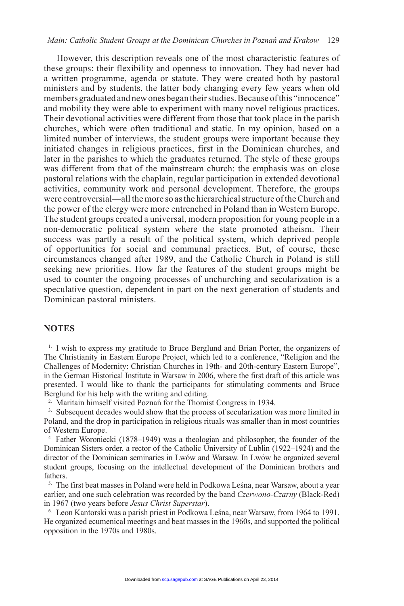However, this description reveals one of the most characteristic features of these groups: their flexibility and openness to innovation. They had never had a written programme, agenda or statute. They were created both by pastoral ministers and by students, the latter body changing every few years when old members graduated and new ones began their studies. Because of this "innocence" and mobility they were able to experiment with many novel religious practices. Their devotional activities were different from those that took place in the parish churches, which were often traditional and static. In my opinion, based on a limited number of interviews, the student groups were important because they initiated changes in religious practices, first in the Dominican churches, and later in the parishes to which the graduates returned. The style of these groups was different from that of the mainstream church: the emphasis was on close pastoral relations with the chaplain, regular participation in extended devotional activities, community work and personal development. Therefore, the groups were controversial—all the more so as the hierarchical structure of the Church and the power of the clergy were more entrenched in Poland than in Western Europe. The student groups created a universal, modern proposition for young people in a non-democratic political system where the state promoted atheism. Their success was partly a result of the political system, which deprived people of opportunities for social and communal practices. But, of course, these circumstances changed after 1989, and the Catholic Church in Poland is still seeking new priorities. How far the features of the student groups might be used to counter the ongoing processes of unchurching and secularization is a speculative question, dependent in part on the next generation of students and Dominican pastoral ministers.

#### **NOTES**

<sup>1.</sup> I wish to express my gratitude to Bruce Berglund and Brian Porter, the organizers of The Christianity in Eastern Europe Project, which led to a conference, "Religion and the Challenges of Modernity: Christian Churches in 19th- and 20th-century Eastern Europe", in the German Historical Institute in Warsaw in 2006, where the first draft of this article was presented. I would like to thank the participants for stimulating comments and Bruce Berglund for his help with the writing and editing.

<sup>2.</sup> Maritain himself visited Poznań for the Thomist Congress in 1934.

<sup>3.</sup> Subsequent decades would show that the process of secularization was more limited in Poland, and the drop in participation in religious rituals was smaller than in most countries of Western Europe.

4. Father Woroniecki (1878–1949) was a theologian and philosopher, the founder of the Dominican Sisters order, a rector of the Catholic University of Lublin (1922–1924) and the director of the Dominican seminaries in Lwów and Warsaw. In Lwów he organized several student groups, focusing on the intellectual development of the Dominican brothers and fathers.

5. The first beat masses in Poland were held in Podkowa Leśna, near Warsaw, about a year earlier, and one such celebration was recorded by the band *Czerwono-Czarny* (Black-Red) in 1967 (two years before *Jesus Christ Superstar*).

6. Leon Kantorski was a parish priest in Podkowa Leśna, near Warsaw, from 1964 to 1991. He organized ecumenical meetings and beat masses in the 1960s, and supported the political opposition in the 1970s and 1980s.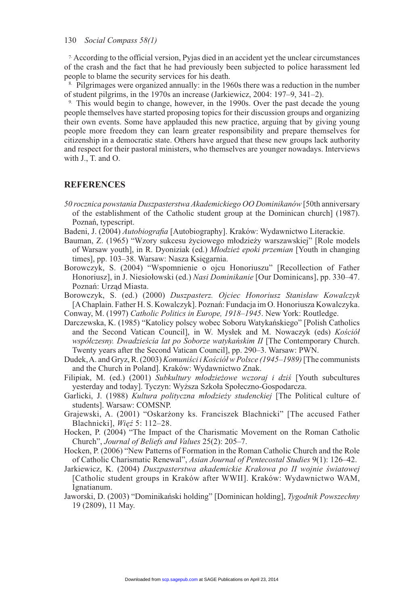$\alpha$ . According to the official version, Pyjas died in an accident yet the unclear circumstances of the crash and the fact that he had previously been subjected to police harassment led people to blame the security services for his death.

 $8.$  Pilgrimages were organized annually: in the 1960s there was a reduction in the number of student pilgrims, in the 1970s an increase (Jarkiewicz, 2004: 197–9, 341–2).

9. This would begin to change, however, in the 1990s. Over the past decade the young people themselves have started proposing topics for their discussion groups and organizing their own events. Some have applauded this new practice, arguing that by giving young people more freedom they can learn greater responsibility and prepare themselves for citizenship in a democratic state. Others have argued that these new groups lack authority and respect for their pastoral ministers, who themselves are younger nowadays. Interviews with J., T. and O.

#### **REFERENCES**

- *50 rocznica powstania Duszpasterstwa Akademickiego OO Dominikanów* [50th anniversary of the establishment of the Catholic student group at the Dominican church] (1987). Poznań, typescript.
- Badeni, J. (2004) *Autobiografia* [Autobiography]. Kraków: Wydawnictwo Literackie.
- Bauman, Z. (1965) "Wzory sukcesu życiowego młodzieży warszawskiej" [Role models of Warsaw youth], in R. Dyoniziak (ed.) *Młodzież epoki przemian* [Youth in changing times], pp. 103–38. Warsaw: Nasza Księgarnia.
- Borowczyk, S. (2004) "Wspomnienie o ojcu Honoriuszu" [Recollection of Father Honoriusz], in J. Niesiołowski (ed.) *Nasi Dominikanie* [Our Dominicans], pp. 330–47. Poznań: Urząd Miasta.
- Borowczyk, S. (ed.) (2000) *Duszpasterz. Ojciec Honoriusz Stanisław Kowalczyk*  [A Chaplain. Father H. S. Kowalczyk]. Poznań: Fundacja im O. Honoriusza Kowalczyka.
- Conway, M. (1997) *Catholic Politics in Europe, 1918–1945*. New York: Routledge.
- Darczewska, K. (1985) "Katolicy polscy wobec Soboru Watykańskiego" [Polish Catholics and the Second Vatican Council], in W. Mysłek and M. Nowaczyk (eds) *Kościół współczesny. Dwadzieścia lat po Soborze watykańskim II* [The Contemporary Church. Twenty years after the Second Vatican Council], pp. 290–3. Warsaw: PWN.
- Dudek, A. and Gryz, R. (2003) *Komuniści i Kościół w Polsce (1945–1989)* [The communists and the Church in Poland]. Kraków: Wydawnictwo Znak.
- Filipiak, M. (ed.) (2001) *Subkultury młodzieżowe wczoraj i dziś* [Youth subcultures yesterday and today]. Tyczyn: Wyższa Szkoła Społeczno-Gospodarcza.
- Garlicki, J. (1988) *Kultura polityczna młodzieży studenckiej* [The Political culture of students]. Warsaw: COMSNP.
- Grajewski, A. (2001) "Oskarżony ks. Franciszek Blachnicki" [The accused Father Blachnicki], *Więź* 5: 112–28.
- Hocken, P. (2004) "The Impact of the Charismatic Movement on the Roman Catholic Church", *Journal of Beliefs and Values* 25(2): 205–7.
- Hocken, P. (2006) "New Patterns of Formation in the Roman Catholic Church and the Role of Catholic Charismatic Renewal", *Asian Journal of Pentecostal Studies* 9(1): 126–42.
- Jarkiewicz, K. (2004) *Duszpasterstwa akademickie Krakowa po II wojnie światowej*  [Catholic student groups in Kraków after WWII]. Kraków: Wydawnictwo WAM, Ignatianum.
- Jaworski, D. (2003) "Dominikański holding" [Dominican holding], *Tygodnik Powszechny* 19 (2809), 11 May.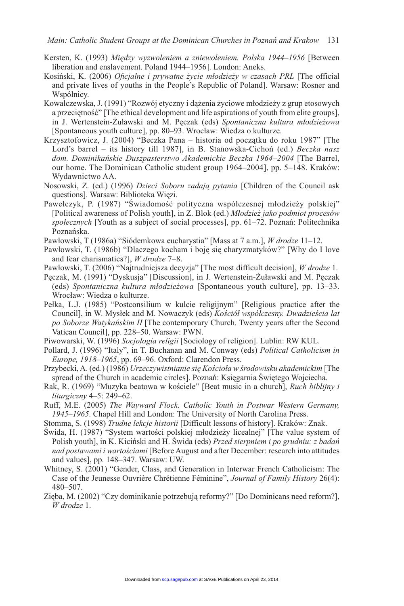- Kersten, K. (1993) *Między wyzwoleniem a zniewoleniem. Polska 1944–1956* [Between liberation and enslavement. Poland 1944–1956]. London: Aneks.
- Kosiński, K. (2006) *Oficjalne i prywatne życie młodzieży w czasach PRL* [The official and private lives of youths in the People's Republic of Poland]. Warsaw: Rosner and Wspólnicy.
- Kowalczewska, J. (1991) "Rozwój etyczny i dążenia życiowe młodzieży z grup etosowych a przeciętność" [The ethical development and life aspirations of youth from elite groups], in J. Wertenstein-Żuławski and M. Pęczak (eds) *Spontaniczna kultura młodzieżowa* [Spontaneous youth culture], pp. 80–93. Wrocław: Wiedza o kulturze.
- Krzysztofowicz, J. (2004) "Beczka Pana historia od początku do roku 1987" [The Lord's barrel – its history till 1987], in B. Stanowska-Cichoń (ed.) *Beczka nasz dom. Dominikańskie Duszpasterstwo Akademickie Beczka 1964–2004* [The Barrel, our home. The Dominican Catholic student group 1964–2004], pp. 5–148. Kraków: Wydawnictwo AA.
- Nosowski, Z. (ed.) (1996) *Dzieci Soboru zadają pytania* [Children of the Council ask questions]. Warsaw: Biblioteka Więzi.
- Pawełczyk, P. (1987) "Świadomość polityczna współczesnej młodzieży polskiej" [Political awareness of Polish youth], in Z. Blok (ed.) *Młodzież jako podmiot procesów społecznych* [Youth as a subject of social processes], pp. 61–72. Poznań: Politechnika Poznańska.
- Pawłowski, T (1986a) "Siódemkowa eucharystia" [Mass at 7 a.m.], *W drodze* 11–12.
- Pawłowski, T. (1986b) "Dlaczego kocham i boję się charyzmatyków?" [Why do I love and fear charismatics?], *W drodze* 7–8.
- Pawłowski, T. (2006) "Najtrudniejsza decyzja" [The most difficult decision], *W drodze* 1.
- Pęczak, M. (1991) "Dyskusja" [Discussion], in J. Wertenstein-Żuławski and M. Pęczak (eds) *Spontaniczna kultura młodzieżowa* [Spontaneous youth culture], pp. 13–33. Wrocław: Wiedza o kulturze.
- Pełka, L.J. (1985) "Postconsilium w kulcie religijnym" [Religious practice after the Council], in W. Mysłek and M. Nowaczyk (eds) *Kościół współczesny. Dwadzieścia lat po Soborze Watykańskim II* [The contemporary Church. Twenty years after the Second Vatican Council], pp. 228–50. Warsaw: PWN.
- Piwowarski, W. (1996) *Socjologia religii* [Sociology of religion]. Lublin: RW KUL.
- Pollard, J. (1996) "Italy", in T. Buchanan and M. Conway (eds) *Political Catholicism in Europe, 1918–1965*, pp. 69–96. Oxford: Clarendon Press.
- Przybecki, A. (ed.) (1986) *Urzeczywistnianie się Kościoła w środowisku akademickim* [The spread of the Church in academic circles]. Poznań: Księgarnia Świętego Wojciecha.
- Rak, R. (1969) "Muzyka beatowa w kościele" [Beat music in a church], *Ruch biblijny i liturgiczny* 4–5: 249–62.
- Ruff, M.E. (2005) *The Wayward Flock. Catholic Youth in Postwar Western Germany, 1945–1965*. Chapel Hill and London: The University of North Carolina Press.
- Stomma, S. (1998) *Trudne lekcje historii* [Difficult lessons of history]. Kraków: Znak.
- Świda, H. (1987) "System wartości polskiej młodzieży licealnej" [The value system of Polish youth], in K. Kiciński and H. Świda (eds) *Przed sierpniem i po grudniu: z badań nad postawami i wartościami* [Before August and after December: research into attitudes and values], pp. 148–347. Warsaw: UW.
- Whitney, S. (2001) "Gender, Class, and Generation in Interwar French Catholicism: The Case of the Jeunesse Ouvrière Chrétienne Féminine", *Journal of Family History* 26(4): 480–507.
- Zięba, M. (2002) "Czy dominikanie potrzebują reformy?" [Do Dominicans need reform?], *W drodze* 1.